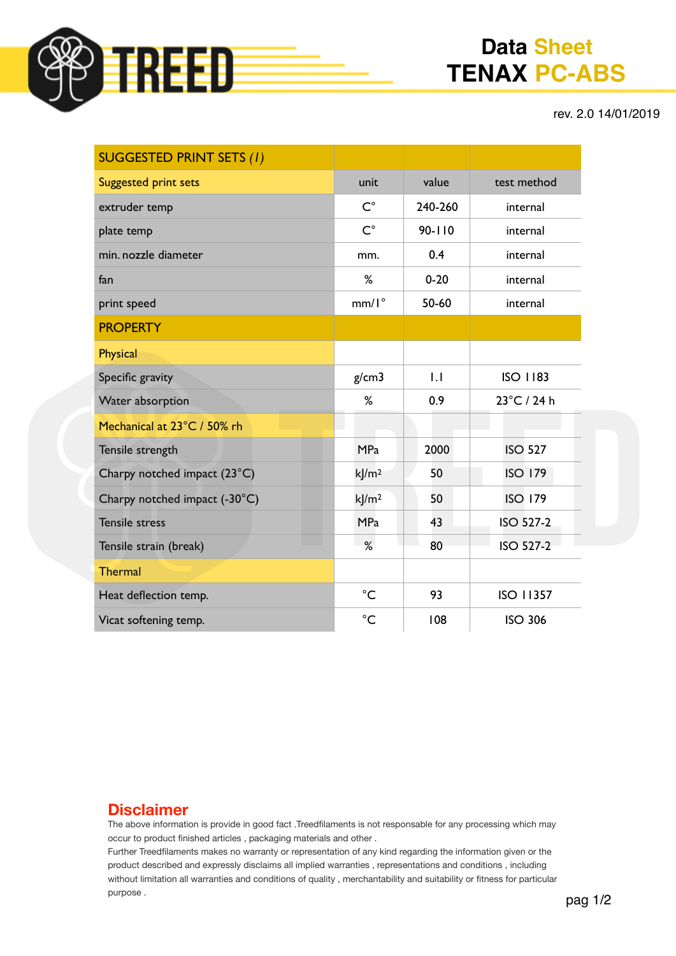

# **Data Sheet TENAX PC-ABS**

rev. 2.0 14/01/2019

| <b>SUGGESTED PRINT SETS (1)</b> |                     |            |                  |
|---------------------------------|---------------------|------------|------------------|
| <b>Suggested print sets</b>     | unit                | value      | test method      |
| extruder temp                   | $C^{\circ}$         | 240-260    | internal         |
| plate temp                      | $C^{\circ}$         | $90 - 110$ | internal         |
| min. nozzle diameter            | mm.                 | 0.4        | internal         |
| fan                             | %                   | $0 - 20$   | internal         |
| print speed                     | $mm/I^{\circ}$      | 50-60      | internal         |
| <b>PROPERTY</b>                 |                     |            |                  |
| <b>Physical</b>                 |                     |            |                  |
| Specific gravity                | g/cm3               | 1.1        | <b>ISO 1183</b>  |
| Water absorption                | %                   | 0.9        | 23°C / 24 h      |
| Mechanical at 23°C / 50% rh     |                     |            |                  |
| Tensile strength                | <b>MPa</b>          | 2000       | <b>ISO 527</b>   |
| Charpy notched impact (23°C)    | k/m <sup>2</sup>    | 50         | <b>ISO 179</b>   |
| Charpy notched impact (-30°C)   | $k$ /m <sup>2</sup> | 50         | <b>ISO 179</b>   |
| <b>Tensile stress</b>           | <b>MPa</b>          | 43         | <b>ISO 527-2</b> |
| Tensile strain (break)          | %                   | 80         | <b>ISO 527-2</b> |
| <b>Thermal</b>                  |                     |            |                  |
| Heat deflection temp.           | $^{\circ}C$         | 93         | <b>ISO 11357</b> |
| Vicat softening temp.           | $^{\circ}C$         | 108        | <b>ISO 306</b>   |

#### **Disclaimer**

The above information is provide in good fact .Treedfilaments is not responsable for any processing which may occur to product finished articles , packaging materials and other .

Further Treedfilaments makes no warranty or representation of any kind regarding the information given or the product described and expressly disclaims all implied warranties , representations and conditions , including without limitation all warranties and conditions of quality , merchantability and suitability or fitness for particular purpose .